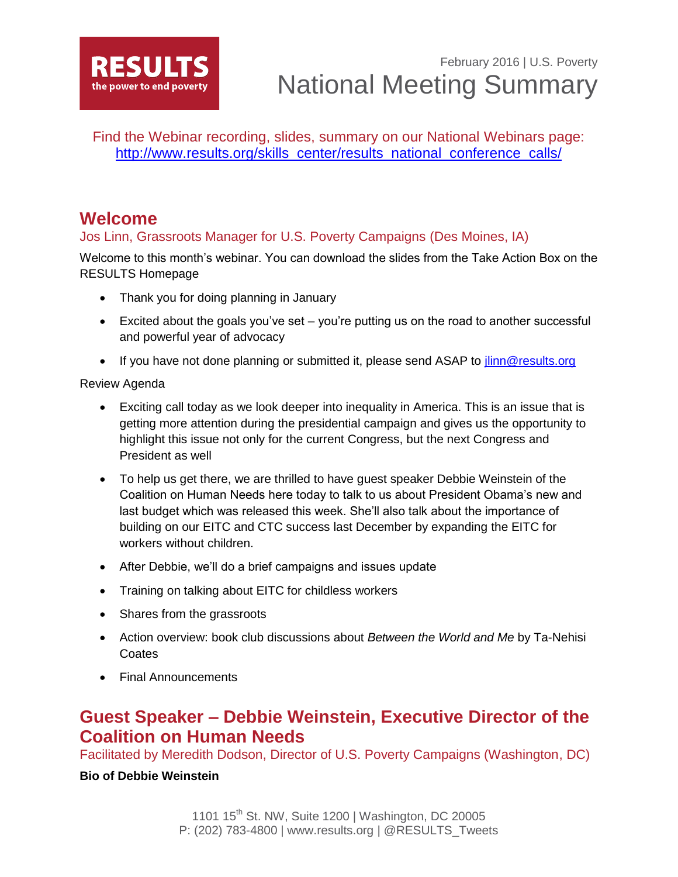

Find the Webinar recording, slides, summary on our National Webinars page: [http://www.results.org/skills\\_center/results\\_national\\_conference\\_calls/](http://www.results.org/skills_center/results_national_conference_calls/)

## **Welcome**

## Jos Linn, Grassroots Manager for U.S. Poverty Campaigns (Des Moines, IA)

Welcome to this month's webinar. You can download the slides from the Take Action Box on the RESULTS Homepage

- Thank you for doing planning in January
- Excited about the goals you've set you're putting us on the road to another successful and powerful year of advocacy
- If you have not done planning or submitted it, please send ASAP to [jlinn@results.org](mailto:jlinn@results.org)

#### Review Agenda

- Exciting call today as we look deeper into inequality in America. This is an issue that is getting more attention during the presidential campaign and gives us the opportunity to highlight this issue not only for the current Congress, but the next Congress and President as well
- To help us get there, we are thrilled to have guest speaker Debbie Weinstein of the Coalition on Human Needs here today to talk to us about President Obama's new and last budget which was released this week. She'll also talk about the importance of building on our EITC and CTC success last December by expanding the EITC for workers without children.
- After Debbie, we'll do a brief campaigns and issues update
- Training on talking about EITC for childless workers
- Shares from the grassroots
- Action overview: book club discussions about *Between the World and Me* by Ta-Nehisi **Coates**
- Final Announcements

## **Guest Speaker – Debbie Weinstein, Executive Director of the Coalition on Human Needs**

Facilitated by Meredith Dodson, Director of U.S. Poverty Campaigns (Washington, DC)

### **Bio of Debbie Weinstein**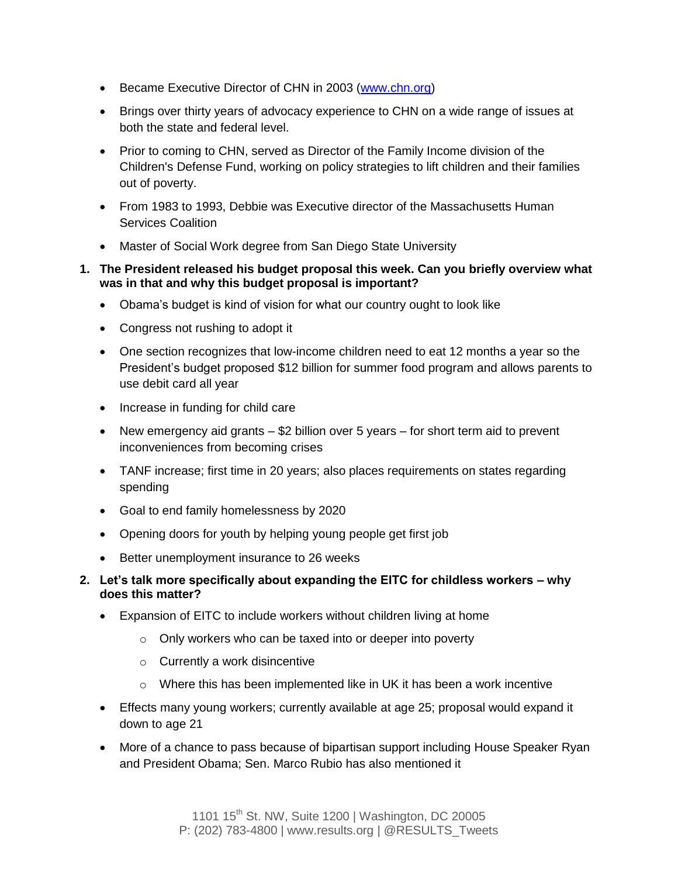- Became Executive Director of CHN in 2003 [\(www.chn.org\)](http://www.chn.org/)
- Brings over thirty years of advocacy experience to CHN on a wide range of issues at both the state and federal level.
- Prior to coming to CHN, served as Director of the Family Income division of the Children's Defense Fund, working on policy strategies to lift children and their families out of poverty.
- From 1983 to 1993, Debbie was Executive director of the Massachusetts Human Services Coalition
- Master of Social Work degree from San Diego State University
- **1. The President released his budget proposal this week. Can you briefly overview what was in that and why this budget proposal is important?** 
	- Obama's budget is kind of vision for what our country ought to look like
	- Congress not rushing to adopt it
	- One section recognizes that low-income children need to eat 12 months a year so the President's budget proposed \$12 billion for summer food program and allows parents to use debit card all year
	- Increase in funding for child care
	- New emergency aid grants \$2 billion over 5 years for short term aid to prevent inconveniences from becoming crises
	- TANF increase; first time in 20 years; also places requirements on states regarding spending
	- Goal to end family homelessness by 2020
	- Opening doors for youth by helping young people get first job
	- Better unemployment insurance to 26 weeks
- **2. Let's talk more specifically about expanding the EITC for childless workers – why does this matter?** 
	- Expansion of EITC to include workers without children living at home
		- o Only workers who can be taxed into or deeper into poverty
		- o Currently a work disincentive
		- o Where this has been implemented like in UK it has been a work incentive
	- Effects many young workers; currently available at age 25; proposal would expand it down to age 21
	- More of a chance to pass because of bipartisan support including House Speaker Ryan and President Obama; Sen. Marco Rubio has also mentioned it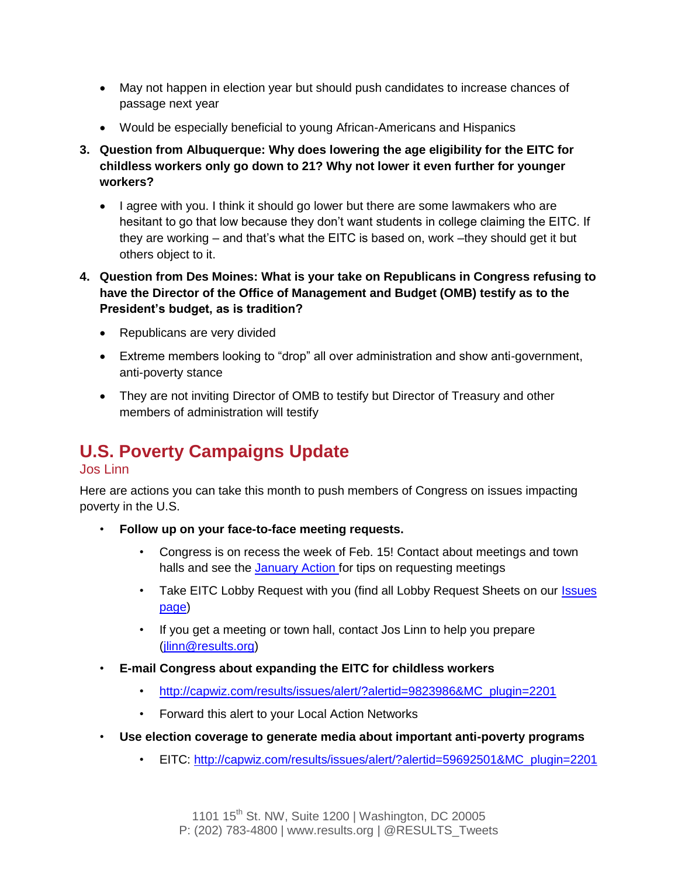- May not happen in election year but should push candidates to increase chances of passage next year
- Would be especially beneficial to young African-Americans and Hispanics
- **3. Question from Albuquerque: Why does lowering the age eligibility for the EITC for childless workers only go down to 21? Why not lower it even further for younger workers?**
	- I agree with you. I think it should go lower but there are some lawmakers who are hesitant to go that low because they don't want students in college claiming the EITC. If they are working – and that's what the EITC is based on, work –they should get it but others object to it.
- **4. Question from Des Moines: What is your take on Republicans in Congress refusing to have the Director of the Office of Management and Budget (OMB) testify as to the President's budget, as is tradition?**
	- Republicans are very divided
	- Extreme members looking to "drop" all over administration and show anti-government, anti-poverty stance
	- They are not inviting Director of OMB to testify but Director of Treasury and other members of administration will testify

# **U.S. Poverty Campaigns Update**

### Jos Linn

Here are actions you can take this month to push members of Congress on issues impacting poverty in the U.S.

- **Follow up on your face-to-face meeting requests.**
	- Congress is on recess the week of Feb. 15! Contact about meetings and town halls and see the [January Action f](http://www.results.org/take_action/january_2016_u.s._poverty_action/)or tips on requesting meetings
	- Take EITC Lobby Request with you (find all Lobby Request Sheets on our Issues [page\)](http://www.results.org/issues/us_poverty_campaigns/)
	- If you get a meeting or town hall, contact Jos Linn to help you prepare [\(jlinn@results.org\)](mailto:jlinn@results.org)
- **E-mail Congress about expanding the EITC for childless workers**
	- [http://capwiz.com/results/issues/alert/?alertid=9823986&MC\\_plugin=2201](http://capwiz.com/results/issues/alert/?alertid=9823986&MC_plugin=2201)
	- Forward this alert to your Local Action Networks
- **Use election coverage to generate media about important anti-poverty programs**
	- EITC: [http://capwiz.com/results/issues/alert/?alertid=59692501&MC\\_plugin=2201](http://capwiz.com/results/issues/alert/?alertid=59692501&MC_plugin=2201)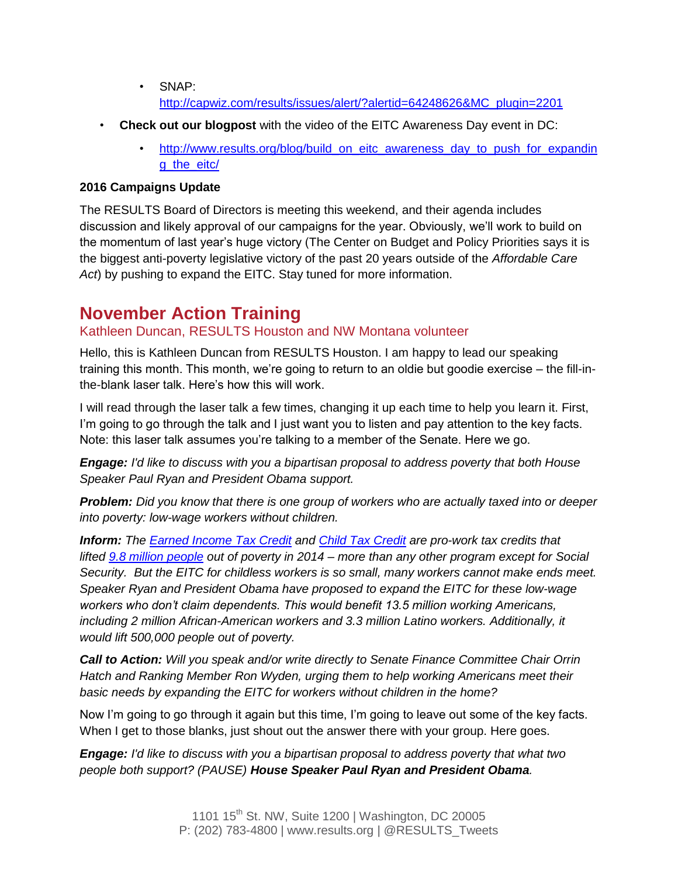- SNAP: [http://capwiz.com/results/issues/alert/?alertid=64248626&MC\\_plugin=2201](http://capwiz.com/results/issues/alert/?alertid=64248626&MC_plugin=2201)
- **Check out our blogpost** with the video of the EITC Awareness Day event in DC:
	- [http://www.results.org/blog/build\\_on\\_eitc\\_awareness\\_day\\_to\\_push\\_for\\_expandin](http://www.results.org/blog/build_on_eitc_awareness_day_to_push_for_expanding_the_eitc/) [g\\_the\\_eitc/](http://www.results.org/blog/build_on_eitc_awareness_day_to_push_for_expanding_the_eitc/)

### **2016 Campaigns Update**

The RESULTS Board of Directors is meeting this weekend, and their agenda includes discussion and likely approval of our campaigns for the year. Obviously, we'll work to build on the momentum of last year's huge victory (The Center on Budget and Policy Priorities says it is the biggest anti-poverty legislative victory of the past 20 years outside of the *Affordable Care Act*) by pushing to expand the EITC. Stay tuned for more information.

# **November Action Training**

## Kathleen Duncan, RESULTS Houston and NW Montana volunteer

Hello, this is Kathleen Duncan from RESULTS Houston. I am happy to lead our speaking training this month. This month, we're going to return to an oldie but goodie exercise – the fill-inthe-blank laser talk. Here's how this will work.

I will read through the laser talk a few times, changing it up each time to help you learn it. First, I'm going to go through the talk and I just want you to listen and pay attention to the key facts. Note: this laser talk assumes you're talking to a member of the Senate. Here we go.

*Engage: I'd like to discuss with you a bipartisan proposal to address poverty that both House Speaker Paul Ryan and President Obama support.*

*Problem: Did you know that there is one group of workers who are actually taxed into or deeper into poverty: low-wage workers without children.*

*Inform: The [Earned Income Tax Credit](http://www.results.org/issues/earned_income_tax_credit/) and [Child Tax Credit](http://www.results.org/issues/child_tax_credit/) are pro-work tax credits that lifted [9.8 million people](http://blogs.census.gov/2015/09/16/census-bureau-releases-2014-supplemental-poverty-measure-2/) out of poverty in 2014 – more than any other program except for Social Security. But the EITC for childless workers is so small, many workers cannot make ends meet. Speaker Ryan and President Obama have proposed to expand the EITC for these low-wage workers who don't claim dependents. This would benefit 13.5 million working Americans, including 2 million African-American workers and 3.3 million Latino workers. Additionally, it would lift 500,000 people out of poverty.*

*Call to Action: Will you speak and/or write directly to Senate Finance Committee Chair Orrin Hatch and Ranking Member Ron Wyden, urging them to help working Americans meet their basic needs by expanding the EITC for workers without children in the home?*

Now I'm going to go through it again but this time, I'm going to leave out some of the key facts. When I get to those blanks, just shout out the answer there with your group. Here goes.

*Engage: I'd like to discuss with you a bipartisan proposal to address poverty that what two people both support? (PAUSE) House Speaker Paul Ryan and President Obama.*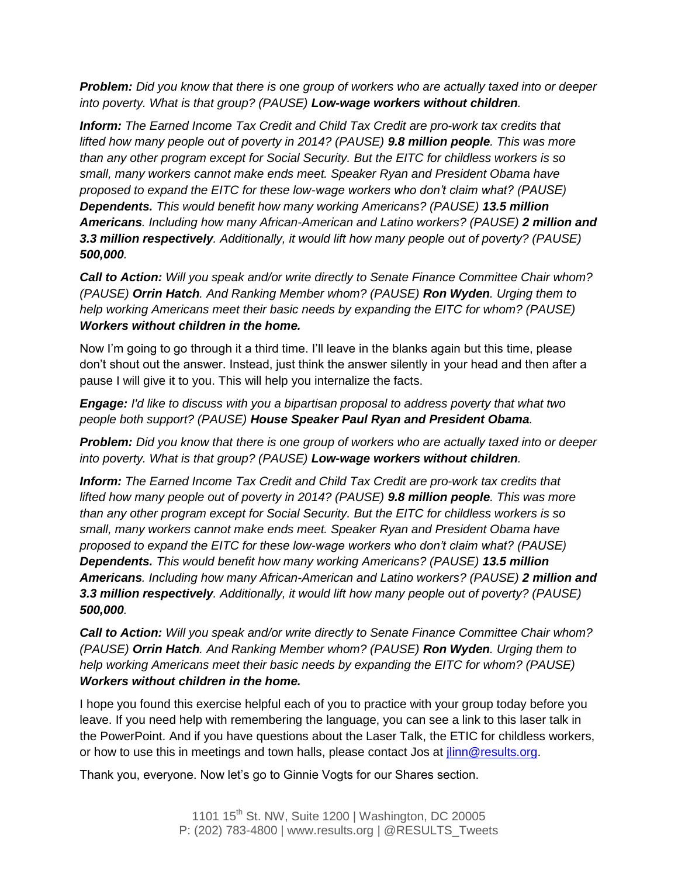*Problem: Did you know that there is one group of workers who are actually taxed into or deeper into poverty. What is that group? (PAUSE) Low-wage workers without children.*

*Inform: The Earned Income Tax Credit and Child Tax Credit are pro-work tax credits that lifted how many people out of poverty in 2014? (PAUSE) 9.8 million people. This was more than any other program except for Social Security. But the EITC for childless workers is so small, many workers cannot make ends meet. Speaker Ryan and President Obama have proposed to expand the EITC for these low-wage workers who don't claim what? (PAUSE) Dependents. This would benefit how many working Americans? (PAUSE) 13.5 million Americans. Including how many African-American and Latino workers? (PAUSE) 2 million and 3.3 million respectively. Additionally, it would lift how many people out of poverty? (PAUSE) 500,000.*

*Call to Action: Will you speak and/or write directly to Senate Finance Committee Chair whom? (PAUSE) Orrin Hatch. And Ranking Member whom? (PAUSE) Ron Wyden. Urging them to help working Americans meet their basic needs by expanding the EITC for whom? (PAUSE) Workers without children in the home.*

Now I'm going to go through it a third time. I'll leave in the blanks again but this time, please don't shout out the answer. Instead, just think the answer silently in your head and then after a pause I will give it to you. This will help you internalize the facts.

*Engage: I'd like to discuss with you a bipartisan proposal to address poverty that what two people both support? (PAUSE) House Speaker Paul Ryan and President Obama.*

*Problem: Did you know that there is one group of workers who are actually taxed into or deeper into poverty. What is that group? (PAUSE) Low-wage workers without children.*

*Inform: The Earned Income Tax Credit and Child Tax Credit are pro-work tax credits that lifted how many people out of poverty in 2014? (PAUSE) 9.8 million people. This was more than any other program except for Social Security. But the EITC for childless workers is so small, many workers cannot make ends meet. Speaker Ryan and President Obama have proposed to expand the EITC for these low-wage workers who don't claim what? (PAUSE) Dependents. This would benefit how many working Americans? (PAUSE) 13.5 million Americans. Including how many African-American and Latino workers? (PAUSE) 2 million and 3.3 million respectively. Additionally, it would lift how many people out of poverty? (PAUSE) 500,000.*

*Call to Action: Will you speak and/or write directly to Senate Finance Committee Chair whom? (PAUSE) Orrin Hatch. And Ranking Member whom? (PAUSE) Ron Wyden. Urging them to help working Americans meet their basic needs by expanding the EITC for whom? (PAUSE) Workers without children in the home.*

I hope you found this exercise helpful each of you to practice with your group today before you leave. If you need help with remembering the language, you can see a link to this laser talk in the PowerPoint. And if you have questions about the Laser Talk, the ETIC for childless workers, or how to use this in meetings and town halls, please contact Jos at *jlinn@results.org*.

Thank you, everyone. Now let's go to Ginnie Vogts for our Shares section.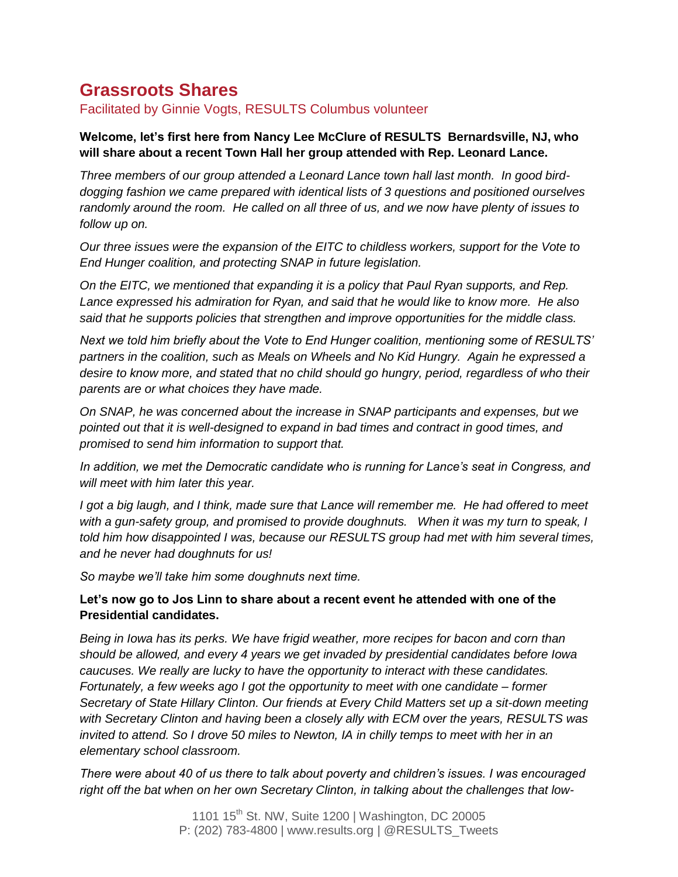# **Grassroots Shares**

Facilitated by Ginnie Vogts, RESULTS Columbus volunteer

#### **Welcome, let's first here from Nancy Lee McClure of RESULTS Bernardsville, NJ, who will share about a recent Town Hall her group attended with Rep. Leonard Lance.**

*Three members of our group attended a Leonard Lance town hall last month. In good birddogging fashion we came prepared with identical lists of 3 questions and positioned ourselves randomly around the room. He called on all three of us, and we now have plenty of issues to follow up on.*

*Our three issues were the expansion of the EITC to childless workers, support for the Vote to End Hunger coalition, and protecting SNAP in future legislation.*

*On the EITC, we mentioned that expanding it is a policy that Paul Ryan supports, and Rep. Lance expressed his admiration for Ryan, and said that he would like to know more. He also said that he supports policies that strengthen and improve opportunities for the middle class.*

*Next we told him briefly about the Vote to End Hunger coalition, mentioning some of RESULTS' partners in the coalition, such as Meals on Wheels and No Kid Hungry. Again he expressed a desire to know more, and stated that no child should go hungry, period, regardless of who their parents are or what choices they have made.*

*On SNAP, he was concerned about the increase in SNAP participants and expenses, but we pointed out that it is well-designed to expand in bad times and contract in good times, and promised to send him information to support that.*

*In addition, we met the Democratic candidate who is running for Lance's seat in Congress, and will meet with him later this year.*

*I got a big laugh, and I think, made sure that Lance will remember me. He had offered to meet with a gun-safety group, and promised to provide doughnuts. When it was my turn to speak, I told him how disappointed I was, because our RESULTS group had met with him several times, and he never had doughnuts for us!*

*So maybe we'll take him some doughnuts next time.*

### **Let's now go to Jos Linn to share about a recent event he attended with one of the Presidential candidates.**

*Being in Iowa has its perks. We have frigid weather, more recipes for bacon and corn than should be allowed, and every 4 years we get invaded by presidential candidates before Iowa caucuses. We really are lucky to have the opportunity to interact with these candidates. Fortunately, a few weeks ago I got the opportunity to meet with one candidate – former Secretary of State Hillary Clinton. Our friends at Every Child Matters set up a sit-down meeting with Secretary Clinton and having been a closely ally with ECM over the years, RESULTS was invited to attend. So I drove 50 miles to Newton, IA in chilly temps to meet with her in an elementary school classroom.*

*There were about 40 of us there to talk about poverty and children's issues. I was encouraged right off the bat when on her own Secretary Clinton, in talking about the challenges that low-*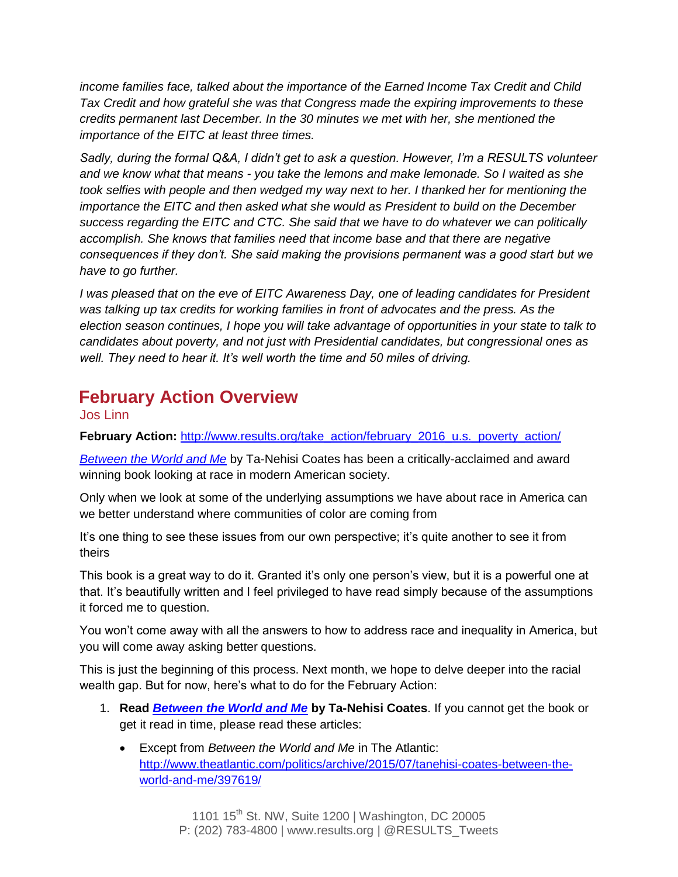*income families face, talked about the importance of the Earned Income Tax Credit and Child Tax Credit and how grateful she was that Congress made the expiring improvements to these credits permanent last December. In the 30 minutes we met with her, she mentioned the importance of the EITC at least three times.* 

*Sadly, during the formal Q&A, I didn't get to ask a question. However, I'm a RESULTS volunteer and we know what that means - you take the lemons and make lemonade. So I waited as she took selfies with people and then wedged my way next to her. I thanked her for mentioning the importance the EITC and then asked what she would as President to build on the December success regarding the EITC and CTC. She said that we have to do whatever we can politically accomplish. She knows that families need that income base and that there are negative consequences if they don't. She said making the provisions permanent was a good start but we have to go further.* 

*I was pleased that on the eve of EITC Awareness Day, one of leading candidates for President was talking up tax credits for working families in front of advocates and the press. As the election season continues, I hope you will take advantage of opportunities in your state to talk to candidates about poverty, and not just with Presidential candidates, but congressional ones as well. They need to hear it. It's well worth the time and 50 miles of driving.*

# **February Action Overview**

Jos Linn

**February Action:** [http://www.results.org/take\\_action/february\\_2016\\_u.s.\\_poverty\\_action/](http://www.results.org/take_action/february_2016_u.s._poverty_action/)

*[Between the World and Me](http://www.amazon.com/Between-World-Me-Ta-Nehisi-Coates/dp/0812993543)* by Ta-Nehisi Coates has been a critically-acclaimed and award winning book looking at race in modern American society.

Only when we look at some of the underlying assumptions we have about race in America can we better understand where communities of color are coming from

It's one thing to see these issues from our own perspective; it's quite another to see it from theirs

This book is a great way to do it. Granted it's only one person's view, but it is a powerful one at that. It's beautifully written and I feel privileged to have read simply because of the assumptions it forced me to question.

You won't come away with all the answers to how to address race and inequality in America, but you will come away asking better questions.

This is just the beginning of this process. Next month, we hope to delve deeper into the racial wealth gap. But for now, here's what to do for the February Action:

- 1. **Read** *[Between the World and Me](http://www.amazon.com/Between-World-Me-Ta-Nehisi-Coates/dp/0812993543)* **by Ta-Nehisi Coates**. If you cannot get the book or get it read in time, please read these articles:
	- Except from *Between the World and Me* in The Atlantic: [http://www.theatlantic.com/politics/archive/2015/07/tanehisi-coates-between-the](http://www.theatlantic.com/politics/archive/2015/07/tanehisi-coates-between-the-world-and-me/397619/)[world-and-me/397619/](http://www.theatlantic.com/politics/archive/2015/07/tanehisi-coates-between-the-world-and-me/397619/)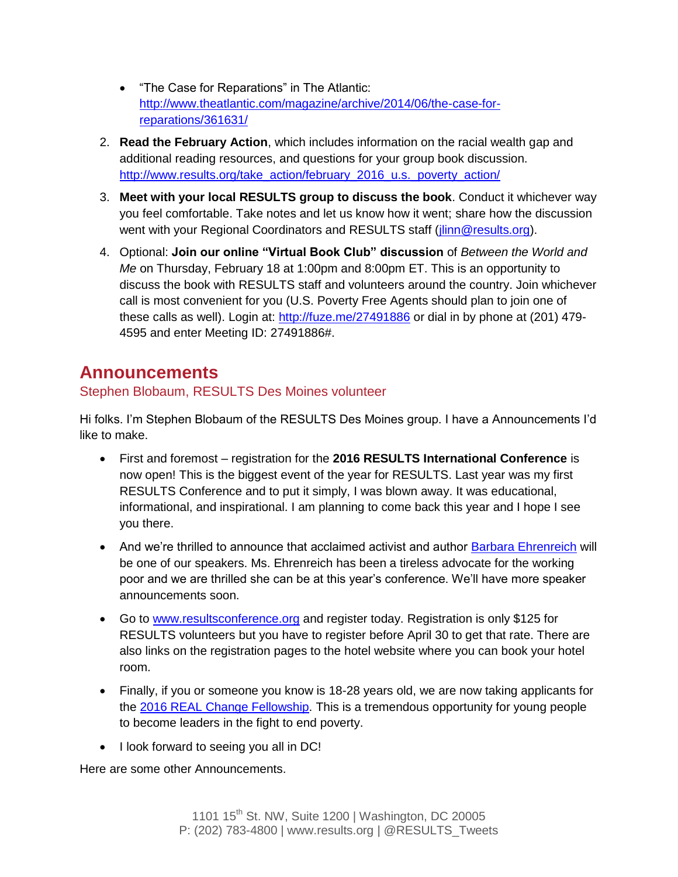- "The Case for Reparations" in The Atlantic: [http://www.theatlantic.com/magazine/archive/2014/06/the-case-for](http://www.theatlantic.com/magazine/archive/2014/06/the-case-for-reparations/361631/)[reparations/361631/](http://www.theatlantic.com/magazine/archive/2014/06/the-case-for-reparations/361631/)
- 2. **Read the February Action**, which includes information on the racial wealth gap and additional reading resources, and questions for your group book discussion. [http://www.results.org/take\\_action/february\\_2016\\_u.s.\\_poverty\\_action/](http://www.results.org/take_action/february_2016_u.s._poverty_action/)
- 3. **Meet with your local RESULTS group to discuss the book**. Conduct it whichever way you feel comfortable. Take notes and let us know how it went; share how the discussion went with your Regional Coordinators and RESULTS staff [\(jlinn@results.org\)](mailto:jlinn@results.org).
- 4. Optional: **Join our online "Virtual Book Club" discussion** of *Between the World and Me* on Thursday, February 18 at 1:00pm and 8:00pm ET. This is an opportunity to discuss the book with RESULTS staff and volunteers around the country. Join whichever call is most convenient for you (U.S. Poverty Free Agents should plan to join one of these calls as well). Login at:<http://fuze.me/27491886> or dial in by phone at (201) 479-4595 and enter Meeting ID: 27491886#.

# **Announcements**

## Stephen Blobaum, RESULTS Des Moines volunteer

Hi folks. I'm Stephen Blobaum of the RESULTS Des Moines group. I have a Announcements I'd like to make.

- First and foremost registration for the **2016 RESULTS International Conference** is now open! This is the biggest event of the year for RESULTS. Last year was my first RESULTS Conference and to put it simply, I was blown away. It was educational, informational, and inspirational. I am planning to come back this year and I hope I see you there.
- And we're thrilled to announce that acclaimed activist and author [Barbara Ehrenreich](http://barbaraehrenreich.com/) will be one of our speakers. Ms. Ehrenreich has been a tireless advocate for the working poor and we are thrilled she can be at this year's conference. We'll have more speaker announcements soon.
- Go to [www.resultsconference.org](http://www.resultsconference.org/) and register today. Registration is only \$125 for RESULTS volunteers but you have to register before April 30 to get that rate. There are also links on the registration pages to the hotel website where you can book your hotel room.
- Finally, if you or someone you know is 18-28 years old, we are now taking applicants for the [2016 REAL Change Fellowship.](http://www.results.org/realchange) This is a tremendous opportunity for young people to become leaders in the fight to end poverty.
- I look forward to seeing you all in DC!

Here are some other Announcements.